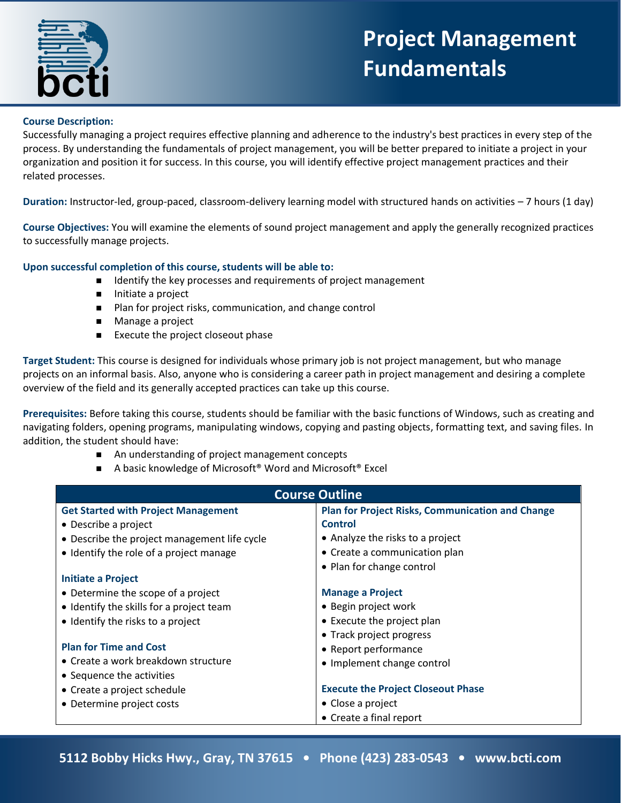

## **Project Management Fundamentals**

## **Course Description:**

Successfully managing a project requires effective planning and adherence to the industry's best practices in every step of the process. By understanding the fundamentals of project management, you will be better prepared to initiate a project in your organization and position it for success. In this course, you will identify effective project management practices and their related processes.

**Duration:** Instructor-led, group-paced, classroom-delivery learning model with structured hands on activities – 7 hours (1 day)

**Course Objectives:** You will examine the elements of sound project management and apply the generally recognized practices to successfully manage projects.

## **Upon successful completion of this course, students will be able to:**

- $\blacksquare$  Identify the key processes and requirements of project management
- Initiate a project
- Plan for project risks, communication, and change control
- Manage a project
- Execute the project closeout phase

**Target Student:** This course is designed for individuals whose primary job is not project management, but who manage projects on an informal basis. Also, anyone who is considering a career path in project management and desiring a complete overview of the field and its generally accepted practices can take up this course.

**Prerequisites:** Before taking this course, students should be familiar with the basic functions of Windows, such as creating and navigating folders, opening programs, manipulating windows, copying and pasting objects, formatting text, and saving files. In addition, the student should have:

- An understanding of project management concepts
- A basic knowledge of Microsoft<sup>®</sup> Word and Microsoft<sup>®</sup> Excel

| <b>Course Outline</b>                        |                                                         |
|----------------------------------------------|---------------------------------------------------------|
| <b>Get Started with Project Management</b>   | <b>Plan for Project Risks, Communication and Change</b> |
| • Describe a project                         | <b>Control</b>                                          |
| • Describe the project management life cycle | • Analyze the risks to a project                        |
| • Identify the role of a project manage      | • Create a communication plan                           |
|                                              | • Plan for change control                               |
| <b>Initiate a Project</b>                    |                                                         |
| • Determine the scope of a project           | <b>Manage a Project</b>                                 |
| • Identify the skills for a project team     | • Begin project work                                    |
| • Identify the risks to a project            | • Execute the project plan                              |
|                                              | • Track project progress                                |
| <b>Plan for Time and Cost</b>                | • Report performance                                    |
| • Create a work breakdown structure          | • Implement change control                              |
| • Sequence the activities                    |                                                         |
| • Create a project schedule                  | <b>Execute the Project Closeout Phase</b>               |
| • Determine project costs                    | • Close a project                                       |
|                                              | • Create a final report                                 |